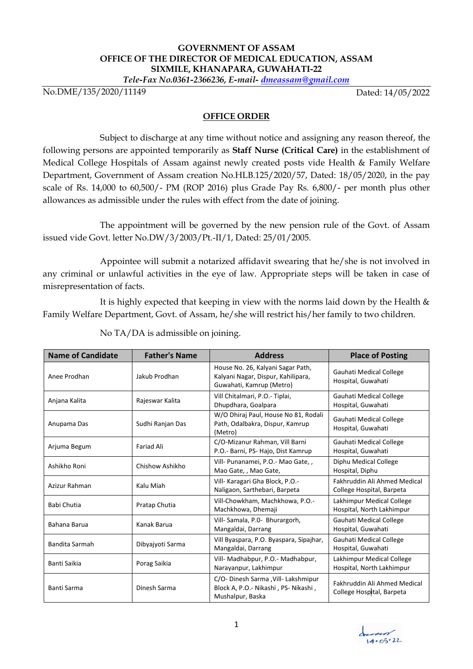## **GOVERNMENT OF ASSAM OFFICE OF THE DIRECTOR OF MEDICAL EDUCATION, ASSAM SIXMILE, KHANAPARA, GUWAHATI-22**

*Tele-Fax No.0361-2366236, E-mail- dmeassam@gmail.com*

No.DME/135/2020/11149

Dated: 14/05/2022

## **OFFICE ORDER**

Subject to discharge at any time without notice and assigning any reason thereof, the following persons are appointed temporarily as **Staff Nurse (Critical Care)** in the establishment of Medical College Hospitals of Assam against newly created posts vide Health & Family Welfare Department, Government of Assam creation No.HLB.125/2020/57, Dated: 18/05/2020, in the pay scale of Rs. 14,000 to 60,500/- PM (ROP 2016) plus Grade Pay Rs. 6,800/- per month plus other allowances as admissible under the rules with effect from the date of joining.

The appointment will be governed by the new pension rule of the Govt. of Assam issued vide Govt. letter No.DW/3/2003/Pt.-II/1, Dated: 25/01/2005.

Appointee will submit a notarized affidavit swearing that he/she is not involved in any criminal or unlawful activities in the eye of law. Appropriate steps will be taken in case of misrepresentation of facts.

It is highly expected that keeping in view with the norms laid down by the Health  $\&$ Family Welfare Department, Govt. of Assam, he/she will restrict his/her family to two children.

| <b>Name of Candidate</b> | <b>Father's Name</b> | <b>Address</b>                                                                                      | <b>Place of Posting</b>                                   |
|--------------------------|----------------------|-----------------------------------------------------------------------------------------------------|-----------------------------------------------------------|
| Anee Prodhan             | Jakub Prodhan        | House No. 26, Kalyani Sagar Path,<br>Kalyani Nagar, Dispur, Kahilipara,<br>Guwahati, Kamrup (Metro) | Gauhati Medical College<br>Hospital, Guwahati             |
| Anjana Kalita            | Rajeswar Kalita      | Vill Chitalmari, P.O.- Tiplai,<br>Dhupdhara, Goalpara                                               | Gauhati Medical College<br>Hospital, Guwahati             |
| Anupama Das              | Sudhi Ranjan Das     | W/O Dhiraj Paul, House No 81, Rodali<br>Path, Odalbakra, Dispur, Kamrup<br>(Metro)                  | Gauhati Medical College<br>Hospital, Guwahati             |
| Arjuma Begum             | <b>Fariad Ali</b>    | C/O-Mizanur Rahman, Vill Barni<br>P.O.- Barni, PS- Hajo, Dist Kamrup                                | <b>Gauhati Medical College</b><br>Hospital, Guwahati      |
| Ashikho Roni             | Chishow Ashikho      | Vill- Punanamei, P.O.- Mao Gate,,<br>Mao Gate, , Mao Gate,                                          | Diphu Medical College<br>Hospital, Diphu                  |
| Azizur Rahman            | Kalu Miah            | Vill- Karagari Gha Block, P.O.-<br>Naligaon, Sarthebari, Barpeta                                    | Fakhruddin Ali Ahmed Medical<br>College Hospital, Barpeta |
| <b>Babi Chutia</b>       | Pratap Chutia        | Vill-Chowkham, Machkhowa, P.O.-<br>Machkhowa, Dhemaji                                               | Lakhimpur Medical College<br>Hospital, North Lakhimpur    |
| Bahana Barua             | Kanak Barua          | Vill-Samala, P.O- Bhurargorh,<br>Mangaldai, Darrang                                                 | Gauhati Medical College<br>Hospital, Guwahati             |
| Bandita Sarmah           | Dibyajyoti Sarma     | Vill Byaspara, P.O. Byaspara, Sipajhar,<br>Mangaldai, Darrang                                       | Gauhati Medical College<br>Hospital, Guwahati             |
| Banti Saikia             | Porag Saikia         | Vill- Madhabpur, P.O.- Madhabpur,<br>Narayanpur, Lakhimpur                                          | Lakhimpur Medical College<br>Hospital, North Lakhimpur    |
| Banti Sarma              | Dinesh Sarma         | C/O- Dinesh Sarma , Vill- Lakshmipur<br>Block A, P.O.- Nikashi, PS- Nikashi,<br>Mushalpur, Baska    | Fakhruddin Ali Ahmed Medical<br>College Hospital, Barpeta |

No TA/DA is admissible on joining.

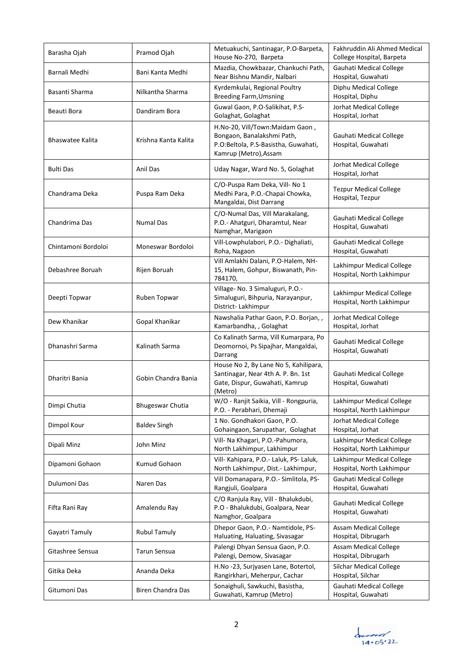| Barasha Ojah            | Pramod Ojah             | Metuakuchi, Santinagar, P.O-Barpeta,<br>House No-270, Barpeta                                                                  | Fakhruddin Ali Ahmed Medical<br>College Hospital, Barpeta |
|-------------------------|-------------------------|--------------------------------------------------------------------------------------------------------------------------------|-----------------------------------------------------------|
| Barnali Medhi           | Bani Kanta Medhi        | Mazdia, Chowkbazar, Chankuchi Path,<br>Near Bishnu Mandir, Nalbari                                                             | Gauhati Medical College<br>Hospital, Guwahati             |
| Basanti Sharma          | Nilkantha Sharma        | Kyrdemkulai, Regional Poultry<br><b>Breeding Farm, Umsning</b>                                                                 | Diphu Medical College<br>Hospital, Diphu                  |
| Beauti Bora             | Dandiram Bora           | Guwal Gaon, P.O-Salikihat, P.S-<br>Golaghat, Golaghat                                                                          | Jorhat Medical College<br>Hospital, Jorhat                |
| <b>Bhaswatee Kalita</b> | Krishna Kanta Kalita    | H.No-20, Vill/Town:Maidam Gaon,<br>Bongaon, Banalakshmi Path,<br>P.O:Beltola, P.S-Basistha, Guwahati,<br>Kamrup (Metro), Assam | Gauhati Medical College<br>Hospital, Guwahati             |
| <b>Bulti Das</b>        | Anil Das                | Uday Nagar, Ward No. 5, Golaghat                                                                                               | Jorhat Medical College<br>Hospital, Jorhat                |
| Chandrama Deka          | Puspa Ram Deka          | C/O-Puspa Ram Deka, Vill- No 1<br>Medhi Para, P.O.-Chapai Chowka,<br>Mangaldai, Dist Darrang                                   | <b>Tezpur Medical College</b><br>Hospital, Tezpur         |
| Chandrima Das           | <b>Numal Das</b>        | C/O-Numal Das, Vill Marakalang,<br>P.O.- Ahatguri, Dharamtul, Near<br>Namghar, Marigaon                                        | Gauhati Medical College<br>Hospital, Guwahati             |
| Chintamoni Bordoloi     | Moneswar Bordoloi       | Vill-Lowphulabori, P.O.- Dighaliati,<br>Roha, Nagaon                                                                           | Gauhati Medical College<br>Hospital, Guwahati             |
| Debashree Boruah        | Rijen Boruah            | Vill Amlakhi Dalani, P.O-Halem, NH-<br>15, Halem, Gohpur, Biswanath, Pin-<br>784170,                                           | Lakhimpur Medical College<br>Hospital, North Lakhimpur    |
| Deepti Topwar           | Ruben Topwar            | Village- No. 3 Simaluguri, P.O.-<br>Simaluguri, Bihpuria, Narayanpur,<br>District-Lakhimpur                                    | Lakhimpur Medical College<br>Hospital, North Lakhimpur    |
| Dew Khanikar            | Gopal Khanikar          | Nawshalia Pathar Gaon, P.O. Borjan,,<br>Kamarbandha, , Golaghat                                                                | Jorhat Medical College<br>Hospital, Jorhat                |
| Dhanashri Sarma         | Kalinath Sarma          | Co Kalinath Sarma, Vill Kumarpara, Po<br>Deomornoi, Ps Sipajhar, Mangaldai,<br>Darrang                                         | Gauhati Medical College<br>Hospital, Guwahati             |
| Dharitri Bania          | Gobin Chandra Bania     | House No 2, By Lane No 5, Kahilipara,<br>Santinagar, Near 4th A. P. Bn. 1st<br>Gate, Dispur, Guwahati, Kamrup<br>(Metro)       | Gauhati Medical College<br>Hospital, Guwahati             |
| Dimpi Chutia            | <b>Bhugeswar Chutia</b> | W/O - Ranjit Saikia, Vill - Rongpuria,<br>P.O. - Perabhari, Dhemaji                                                            | Lakhimpur Medical College<br>Hospital, North Lakhimpur    |
| Dimpol Kour             | <b>Baldev Singh</b>     | 1 No. Gondhakori Gaon, P.O.<br>Gohaingaon, Sarupathar, Golaghat                                                                | Jorhat Medical College<br>Hospital, Jorhat                |
| Dipali Minz             | John Minz               | Vill- Na Khagari, P.O.-Pahumora,<br>North Lakhimpur, Lakhimpur                                                                 | Lakhimpur Medical College<br>Hospital, North Lakhimpur    |
| Dipamoni Gohaon         | Kumud Gohaon            | Vill- Kahipara, P.O.- Laluk, PS- Laluk,<br>North Lakhimpur, Dist.- Lakhimpur,                                                  | Lakhimpur Medical College<br>Hospital, North Lakhimpur    |
| Dulumoni Das            | Naren Das               | Vill Domanapara, P.O.- Simlitola, PS-<br>Rangjuli, Goalpara                                                                    | Gauhati Medical College<br>Hospital, Guwahati             |
| Fifta Rani Ray          | Amalendu Ray            | C/O Ranjula Ray, Vill - Bhalukdubi,<br>P.O - Bhalukdubi, Goalpara, Near<br>Namghor, Goalpara                                   | Gauhati Medical College<br>Hospital, Guwahati             |
| Gayatri Tamuly          | <b>Rubul Tamuly</b>     | Dhepor Gaon, P.O.- Namtidole, PS-<br>Haluating, Haluating, Sivasagar                                                           | Assam Medical College<br>Hospital, Dibrugarh              |
| Gitashree Sensua        | Tarun Sensua            | Palengi Dhyan Sensua Gaon, P.O.<br>Palengi, Demow, Sivasagar                                                                   | <b>Assam Medical College</b><br>Hospital, Dibrugarh       |
| Gitika Deka             | Ananda Deka             | H.No -23, Surjyasen Lane, Botertol,<br>Rangirkhari, Meherpur, Cachar                                                           | <b>Silchar Medical College</b><br>Hospital, Silchar       |
| Gitumoni Das            | Biren Chandra Das       | Sonaighuli, Sawkuchi, Basistha,<br>Guwahati, Kamrup (Metro)                                                                    | Gauhati Medical College<br>Hospital, Guwahati             |

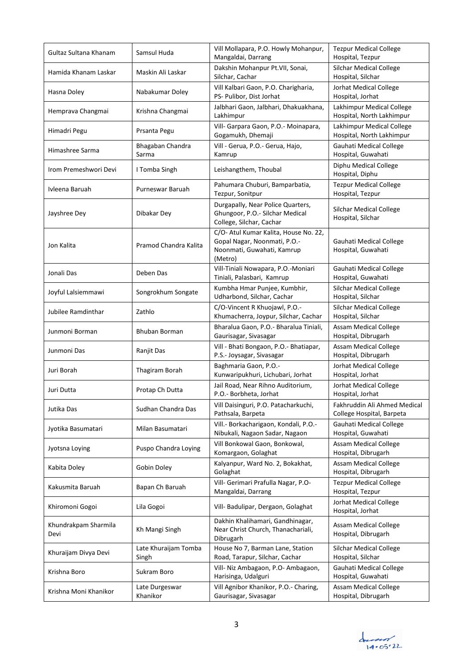| Gultaz Sultana Khanam        | Samsul Huda                   | Vill Mollapara, P.O. Howly Mohanpur,<br>Mangaldai, Darrang                                                     | <b>Tezpur Medical College</b><br>Hospital, Tezpur         |
|------------------------------|-------------------------------|----------------------------------------------------------------------------------------------------------------|-----------------------------------------------------------|
| Hamida Khanam Laskar         | Maskin Ali Laskar             | Dakshin Mohanpur Pt.VII, Sonai,<br>Silchar, Cachar                                                             | <b>Silchar Medical College</b><br>Hospital, Silchar       |
| Hasna Doley                  | Nabakumar Doley               | Vill Kalbari Gaon, P.O. Charigharia,<br>PS- Pulibor, Dist Jorhat                                               | Jorhat Medical College<br>Hospital, Jorhat                |
| Hemprava Changmai            | Krishna Changmai              | Jalbhari Gaon, Jalbhari, Dhakuakhana,<br>Lakhimpur                                                             | Lakhimpur Medical College<br>Hospital, North Lakhimpur    |
| Himadri Pegu                 | Prsanta Pegu                  | Vill- Garpara Gaon, P.O.- Moinapara,<br>Gogamukh, Dhemaji                                                      | Lakhimpur Medical College<br>Hospital, North Lakhimpur    |
| Himashree Sarma              | Bhagaban Chandra<br>Sarma     | Vill - Gerua, P.O.- Gerua, Hajo,<br>Kamrup                                                                     | Gauhati Medical College<br>Hospital, Guwahati             |
| Irom Premeshwori Devi        | I Tomba Singh                 | Leishangthem, Thoubal                                                                                          | Diphu Medical College<br>Hospital, Diphu                  |
| Ivleena Baruah               | Purneswar Baruah              | Pahumara Chuburi, Bamparbatia,<br>Tezpur, Sonitpur                                                             | <b>Tezpur Medical College</b><br>Hospital, Tezpur         |
| Jayshree Dey                 | Dibakar Dey                   | Durgapally, Near Police Quarters,<br>Ghungoor, P.O.- Silchar Medical<br>College, Silchar, Cachar               | Silchar Medical College<br>Hospital, Silchar              |
| Jon Kalita                   | Pramod Chandra Kalita         | C/O- Atul Kumar Kalita, House No. 22,<br>Gopal Nagar, Noonmati, P.O.-<br>Noonmati, Guwahati, Kamrup<br>(Metro) | Gauhati Medical College<br>Hospital, Guwahati             |
| Jonali Das                   | Deben Das                     | Vill-Tiniali Nowapara, P.O.-Moniari<br>Tiniali, Palasbari, Kamrup                                              | Gauhati Medical College<br>Hospital, Guwahati             |
| Joyful Lalsiemmawi           | Songrokhum Songate            | Kumbha Hmar Punjee, Kumbhir,<br>Udharbond, Silchar, Cachar                                                     | <b>Silchar Medical College</b><br>Hospital, Silchar       |
| Jubilee Ramdinthar           | Zathlo                        | C/O-Vincent R Khuojawl, P.O.-<br>Khumacherra, Joypur, Silchar, Cachar                                          | <b>Silchar Medical College</b><br>Hospital, Silchar       |
| Junmoni Borman               | Bhuban Borman                 | Bharalua Gaon, P.O.- Bharalua Tiniali,<br>Gaurisagar, Sivasagar                                                | <b>Assam Medical College</b><br>Hospital, Dibrugarh       |
| Junmoni Das                  | Ranjit Das                    | Vill - Bhati Bongaon, P.O.- Bhatiapar,<br>P.S.- Joysagar, Sivasagar                                            | <b>Assam Medical College</b><br>Hospital, Dibrugarh       |
| Juri Borah                   | Thagiram Borah                | Baghmaria Gaon, P.O.-<br>Kunwaripukhuri, Lichubari, Jorhat                                                     | <b>Jorhat Medical College</b><br>Hospital, Jorhat         |
| Juri Dutta                   | Protap Ch Dutta               | Jail Road, Near Rihno Auditorium,<br>P.O.- Borbheta, Jorhat                                                    | Jorhat Medical College<br>Hospital, Jorhat                |
| Jutika Das                   | Sudhan Chandra Das            | Vill Daisinguri, P.O. Patacharkuchi,<br>Pathsala, Barpeta                                                      | Fakhruddin Ali Ahmed Medical<br>College Hospital, Barpeta |
| Jyotika Basumatari           | Milan Basumatari              | Vill.- Borkacharigaon, Kondali, P.O.-<br>Nibukali, Nagaon Sadar, Nagaon                                        | Gauhati Medical College<br>Hospital, Guwahati             |
| Jyotsna Loying               | Puspo Chandra Loying          | Vill Bonkowal Gaon, Bonkowal,<br>Komargaon, Golaghat                                                           | <b>Assam Medical College</b><br>Hospital, Dibrugarh       |
| Kabita Doley                 | Gobin Doley                   | Kalyanpur, Ward No. 2, Bokakhat,<br>Golaghat                                                                   | <b>Assam Medical College</b><br>Hospital, Dibrugarh       |
| Kakusmita Baruah             | Bapan Ch Baruah               | Vill- Gerimari Prafulla Nagar, P.O-<br>Mangaldai, Darrang                                                      | <b>Tezpur Medical College</b><br>Hospital, Tezpur         |
| Khiromoni Gogoi              | Lila Gogoi                    | Vill- Badulipar, Dergaon, Golaghat                                                                             | Jorhat Medical College<br>Hospital, Jorhat                |
| Khundrakpam Sharmila<br>Devi | Kh Mangi Singh                | Dakhin Khalihamari, Gandhinagar,<br>Near Christ Church, Thanachariali,<br>Dibrugarh                            | Assam Medical College<br>Hospital, Dibrugarh              |
| Khuraijam Divya Devi         | Late Khuraijam Tomba<br>Singh | House No 7, Barman Lane, Station<br>Road, Tarapur, Silchar, Cachar                                             | Silchar Medical College<br>Hospital, Silchar              |
| Krishna Boro                 | Sukram Boro                   | Vill- Niz Ambagaon, P.O- Ambagaon,<br>Harisinga, Udalguri                                                      | Gauhati Medical College<br>Hospital, Guwahati             |
| Krishna Moni Khanikor        | Late Durgeswar<br>Khanikor    | Vill Agnibor Khanikor, P.O.- Charing,<br>Gaurisagar, Sivasagar                                                 | Assam Medical College<br>Hospital, Dibrugarh              |

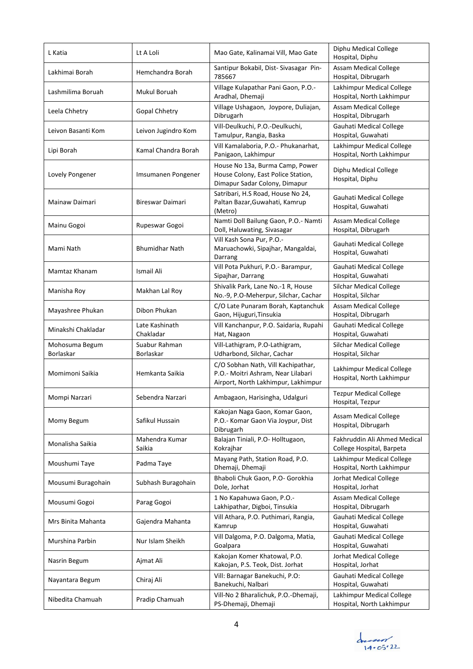| L Katia                     | Lt A Loli                   | Mao Gate, Kalinamai Vill, Mao Gate                                                                              | Diphu Medical College<br>Hospital, Diphu                  |
|-----------------------------|-----------------------------|-----------------------------------------------------------------------------------------------------------------|-----------------------------------------------------------|
| Lakhimai Borah              | Hemchandra Borah            | Santipur Bokabil, Dist-Sivasagar Pin-<br>785667                                                                 | <b>Assam Medical College</b><br>Hospital, Dibrugarh       |
| Lashmilima Boruah           | Mukul Boruah                | Village Kulapathar Pani Gaon, P.O.-<br>Aradhal, Dhemaji                                                         | Lakhimpur Medical College<br>Hospital, North Lakhimpur    |
| Leela Chhetry               | <b>Gopal Chhetry</b>        | Village Ushagaon, Joypore, Duliajan,<br>Dibrugarh                                                               | Assam Medical College<br>Hospital, Dibrugarh              |
| Leivon Basanti Kom          | Leivon Jugindro Kom         | Vill-Deulkuchi, P.O.-Deulkuchi,<br>Tamulpur, Rangia, Baska                                                      | Gauhati Medical College<br>Hospital, Guwahati             |
| Lipi Borah                  | Kamal Chandra Borah         | Vill Kamalaboria, P.O.- Phukanarhat,<br>Panigaon, Lakhimpur                                                     | Lakhimpur Medical College<br>Hospital, North Lakhimpur    |
| Lovely Pongener             | Imsumanen Pongener          | House No 13a, Burma Camp, Power<br>House Colony, East Police Station,<br>Dimapur Sadar Colony, Dimapur          | Diphu Medical College<br>Hospital, Diphu                  |
| Mainaw Daimari              | Bireswar Daimari            | Satribari, H.S Road, House No 24,<br>Paltan Bazar, Guwahati, Kamrup<br>(Metro)                                  | Gauhati Medical College<br>Hospital, Guwahati             |
| Mainu Gogoi                 | Rupeswar Gogoi              | Namti Doll Bailung Gaon, P.O.- Namti<br>Doll, Haluwating, Sivasagar                                             | Assam Medical College<br>Hospital, Dibrugarh              |
| Mami Nath                   | <b>Bhumidhar Nath</b>       | Vill Kash Sona Pur, P.O.-<br>Maruachowki, Sipajhar, Mangaldai,<br>Darrang                                       | Gauhati Medical College<br>Hospital, Guwahati             |
| Mamtaz Khanam               | Ismail Ali                  | Vill Pota Pukhuri, P.O.- Barampur,<br>Sipajhar, Darrang                                                         | Gauhati Medical College<br>Hospital, Guwahati             |
| Manisha Roy                 | Makhan Lal Roy              | Shivalik Park, Lane No.-1 R, House<br>No.-9, P.O-Meherpur, Silchar, Cachar                                      | <b>Silchar Medical College</b><br>Hospital, Silchar       |
| Mayashree Phukan            | Dibon Phukan                | C/O Late Punaram Borah, Kaptanchuk<br>Gaon, Hijuguri, Tinsukia                                                  | <b>Assam Medical College</b><br>Hospital, Dibrugarh       |
| Minakshi Chakladar          | Late Kashinath<br>Chakladar | Vill Kanchanpur, P.O. Saidaria, Rupahi<br>Hat, Nagaon                                                           | Gauhati Medical College<br>Hospital, Guwahati             |
| Mohosuma Begum<br>Borlaskar | Suabur Rahman<br>Borlaskar  | Vill-Lathigram, P.O-Lathigram,<br>Udharbond, Silchar, Cachar                                                    | <b>Silchar Medical College</b><br>Hospital, Silchar       |
| Momimoni Saikia             | Hemkanta Saikia             | C/O Sobhan Nath, Vill Kachipathar,<br>P.O.- Moitri Ashram, Near Lilabari<br>Airport, North Lakhimpur, Lakhimpur | Lakhimpur Medical College<br>Hospital, North Lakhimpur    |
| Mompi Narzari               | Sebendra Narzari            | Ambagaon, Harisingha, Udalguri                                                                                  | <b>Tezpur Medical College</b><br>Hospital, Tezpur         |
| Momy Begum                  | Safikul Hussain             | Kakojan Naga Gaon, Komar Gaon,<br>P.O.- Komar Gaon Via Joypur, Dist<br>Dibrugarh                                | <b>Assam Medical College</b><br>Hospital, Dibrugarh       |
| Monalisha Saikia            | Mahendra Kumar<br>Saikia    | Balajan Tiniali, P.O- Holltugaon,<br>Kokrajhar                                                                  | Fakhruddin Ali Ahmed Medical<br>College Hospital, Barpeta |
| Moushumi Taye               | Padma Taye                  | Mayang Path, Station Road, P.O.<br>Dhemaji, Dhemaji                                                             | Lakhimpur Medical College<br>Hospital, North Lakhimpur    |
| Mousumi Buragohain          | Subhash Buragohain          | Bhaboli Chuk Gaon, P.O- Gorokhia<br>Dole, Jorhat                                                                | Jorhat Medical College<br>Hospital, Jorhat                |
| Mousumi Gogoi               | Parag Gogoi                 | 1 No Kapahuwa Gaon, P.O.-<br>Lakhipathar, Digboi, Tinsukia                                                      | <b>Assam Medical College</b><br>Hospital, Dibrugarh       |
| Mrs Binita Mahanta          | Gajendra Mahanta            | Vill Athara, P.O. Puthimari, Rangia,<br>Kamrup                                                                  | Gauhati Medical College<br>Hospital, Guwahati             |
| Murshina Parbin             | Nur Islam Sheikh            | Vill Dalgoma, P.O. Dalgoma, Matia,<br>Goalpara                                                                  | Gauhati Medical College<br>Hospital, Guwahati             |
| Nasrin Begum                | Ajmat Ali                   | Kakojan Komer Khatowal, P.O.<br>Kakojan, P.S. Teok, Dist. Jorhat                                                | Jorhat Medical College<br>Hospital, Jorhat                |
| Nayantara Begum             | Chiraj Ali                  | Vill: Barnagar Banekuchi, P.O:<br>Banekuchi, Nalbari                                                            | Gauhati Medical College<br>Hospital, Guwahati             |
| Nibedita Chamuah            | Pradip Chamuah              | Vill-No 2 Bharalichuk, P.O.-Dhemaji,<br>PS-Dhemaji, Dhemaji                                                     | Lakhimpur Medical College<br>Hospital, North Lakhimpur    |

ducent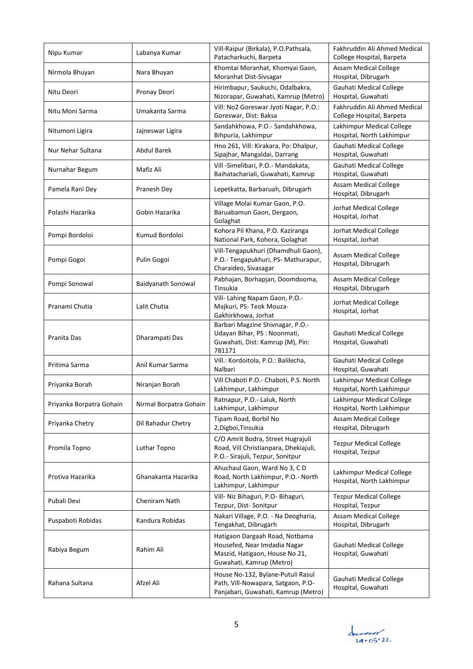| Nipu Kumar               | Labanya Kumar          | Vill-Raipur (Birkala), P.O.Pathsala,<br>Patacharkuchi, Barpeta                                                               | Fakhruddin Ali Ahmed Medical<br>College Hospital, Barpeta |
|--------------------------|------------------------|------------------------------------------------------------------------------------------------------------------------------|-----------------------------------------------------------|
| Nirmola Bhuyan           | Nara Bhuyan            | Khomtai Moranhat, Khomyai Gaon,<br>Moranhat Dist-Sivsagar                                                                    | <b>Assam Medical College</b><br>Hospital, Dibrugarh       |
| Nitu Deori               | Pronay Deori           | Hirimbapur, Saukuchi, Odalbakra,<br>Nizorapar, Guwahati, Kamrup (Metro)                                                      | <b>Gauhati Medical College</b><br>Hospital, Guwahati      |
| Nitu Moni Sarma          | Umakanta Sarma         | Vill: No2 Goreswar Jyoti Nagar, P.O.:<br>Goreswar, Dist: Baksa                                                               | Fakhruddin Ali Ahmed Medical<br>College Hospital, Barpeta |
| Nitumoni Ligira          | Jajneswar Ligira       | Sandahkhowa, P.O.- Sandahkhowa,<br>Bihpuria, Lakhimpur                                                                       | Lakhimpur Medical College<br>Hospital, North Lakhimpur    |
| Nur Nehar Sultana        | Abdul Barek            | Hno 261, Vill: Kirakara, Po: Dhalpur,<br>Sipajhar, Mangaldai, Darrang                                                        | Gauhati Medical College<br>Hospital, Guwahati             |
| Nurnahar Begum           | Mafiz Ali              | Vill -Simelibari, P.O.- Mandakata,<br>Baihatachariali, Guwahati, Kamrup                                                      | Gauhati Medical College<br>Hospital, Guwahati             |
| Pamela Rani Dey          | Pranesh Dey            | Lepetkatta, Barbaruah, Dibrugarh                                                                                             | <b>Assam Medical College</b><br>Hospital, Dibrugarh       |
| Polashi Hazarika         | Gobin Hazarika         | Village Molai Kumar Gaon, P.O.<br>Baruabamun Gaon, Dergaon,<br>Golaghat                                                      | Jorhat Medical College<br>Hospital, Jorhat                |
| Pompi Bordoloi           | Kumud Bordoloi         | Kohora Pil Khana, P.O. Kaziranga<br>National Park, Kohora, Golaghat                                                          | Jorhat Medical College<br>Hospital, Jorhat                |
| Pompi Gogoi              | Pulin Gogoi            | Vill-Tengapukhuri (Dhamdhuli Gaon),<br>P.O.- Tengapukhuri, PS- Mathurapur,<br>Charaideo, Sivasagar                           | <b>Assam Medical College</b><br>Hospital, Dibrugarh       |
| Pompi Sonowal            | Baidyanath Sonowal     | Pabhajan, Borhapjan, Doomdooma,<br>Tinsukia                                                                                  | <b>Assam Medical College</b><br>Hospital, Dibrugarh       |
| Pranami Chutia           | Lalit Chutia           | Vill- Lahing Napam Gaon, P.O.-<br>Majkuri, PS- Teok Mouza-<br>Gakhirkhowa, Jorhat                                            | Jorhat Medical College<br>Hospital, Jorhat                |
| Pranita Das              | Dharampati Das         | Barbari Magzine Shivnagar, P.O.-<br>Udayan Bihar, PS : Noonmati,<br>Guwahati, Dist: Kamrup (M), Pin:<br>781171               | Gauhati Medical College<br>Hospital, Guwahati             |
| Pritima Sarma            | Anil Kumar Sarma       | Vill.: Kordoitola, P.O.: Balilecha,<br>Nalbari                                                                               | Gauhati Medical College<br>Hospital, Guwahati             |
| Priyanka Borah           | Niranjan Borah         | Vill Chaboti P.O.- Chaboti, P.S. North<br>Lakhimpur, Lakhimpur                                                               | Lakhimpur Medical College<br>Hospital, North Lakhimpur    |
| Priyanka Borpatra Gohain | Nirmal Borpatra Gohain | Ratnapur, P.O.- Laluk, North<br>Lakhimpur, Lakhimpur                                                                         | Lakhimpur Medical College<br>Hospital, North Lakhimpur    |
| Priyanka Chetry          | Dil Bahadur Chetry     | Tipam Road, Borbil No<br>2, Digboi, Tinsukia                                                                                 | <b>Assam Medical College</b><br>Hospital, Dibrugarh       |
| Promila Topno            | Luthar Topno           | C/O Amrit Bodra, Street Hugrajuli<br>Road, Vill Christianpara, Dhekiajuli,<br>P.O.- Sirajuli, Tezpur, Sonitpur               | <b>Tezpur Medical College</b><br>Hospital, Tezpur         |
| Protiva Hazarika         | Ghanakanta Hazarika    | Ahuchaul Gaon, Ward No 3, CD<br>Road, North Lakhimpur, P.O.- North<br>Lakhimpur, Lakhimpur                                   | Lakhimpur Medical College<br>Hospital, North Lakhimpur    |
| Pubali Devi              | Cheniram Nath          | Vill- Niz Bihaguri, P.O- Bihaguri,<br>Tezpur, Dist- Sonitpur                                                                 | <b>Tezpur Medical College</b><br>Hospital, Tezpur         |
| Puspaboti Robidas        | Kandura Robidas        | Nakari Village, P.O. - Na Deogharia,<br>Tengakhat, Dibrugarh                                                                 | <b>Assam Medical College</b><br>Hospital, Dibrugarh       |
| Rabiya Begum             | Rahim Ali              | Hatigaon Dargaah Road, Notbama<br>Housefed, Near Imdadia Nagar<br>Maszid, Hatigaon, House No 21,<br>Guwahati, Kamrup (Metro) | Gauhati Medical College<br>Hospital, Guwahati             |
| Rahana Sultana           | Afzel Ali              | House No-132, Bylane-Putuli Rasul<br>Path, Vill-Nowapara, Satgaon, P.O-<br>Panjabari, Guwahati, Kamrup (Metro)               | Gauhati Medical College<br>Hospital, Guwahati             |

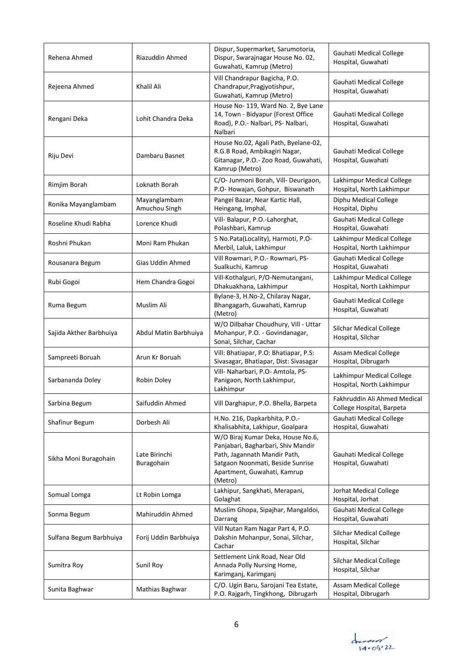| Rehena Ahmed            | Riazuddin Ahmed               | Dispur, Supermarket, Sarumotoria,<br>Dispur, Swarajnagar House No. 02,<br>Guwahati, Kamrup (Metro)                                                                                    | Gauhati Medical College<br>Hospital, Guwahati             |
|-------------------------|-------------------------------|---------------------------------------------------------------------------------------------------------------------------------------------------------------------------------------|-----------------------------------------------------------|
| Rejeena Ahmed           | Khalil Ali                    | Vill Chandrapur Bagicha, P.O.<br>Chandrapur, Pragjyotishpur,<br>Guwahati, Kamrup (Metro)                                                                                              | Gauhati Medical College<br>Hospital, Guwahati             |
| Rengani Deka            | Lohit Chandra Deka            | House No- 119, Ward No. 2, Bye Lane<br>14, Town - Bidyapur (Forest Office<br>Road), P.O.- Nalbari, PS- Nalbari,<br>Nalbari                                                            | Gauhati Medical College<br>Hospital, Guwahati             |
| Riju Devi               | Dambaru Basnet                | House No.02, Agali Path, Byelane-02,<br>R.G.B Road, Ambikagiri Nagar,<br>Gitanagar, P.O.- Zoo Road, Guwahati,<br>Kamrup (Metro)                                                       | Gauhati Medical College<br>Hospital, Guwahati             |
| Rimjim Borah            | Loknath Borah                 | C/O- Junmoni Borah, Vill- Deurigaon,<br>P.O- Howajan, Gohpur, Biswanath                                                                                                               | Lakhimpur Medical College<br>Hospital, North Lakhimpur    |
| Ronika Mayanglambam     | Mayanglambam<br>Amuchou Singh | Pangei Bazar, Near Kartic Hall,<br>Heingang, Imphal,                                                                                                                                  | Diphu Medical College<br>Hospital, Diphu                  |
| Roseline Khudi Rabha    | Lorence Khudi                 | Vill- Balapur, P.O.-Lahorghat,<br>Polashbari, Kamrup                                                                                                                                  | Gauhati Medical College<br>Hospital, Guwahati             |
| Roshni Phukan           | Moni Ram Phukan               | 5 No.Pata(Locality), Harmoti, P.O-<br>Merbil, Laluk, Lakhimpur                                                                                                                        | Lakhimpur Medical College<br>Hospital, North Lakhimpur    |
| Rousanara Begum         | Gias Uddin Ahmed              | Vill Rowmari, P.O.- Rowmari, PS-<br>Sualkuchi, Kamrup                                                                                                                                 | Gauhati Medical College<br>Hospital, Guwahati             |
| Rubi Gogoi              | Hem Chandra Gogoi             | Vill-Kothalguri, P/O-Nemutangani,<br>Dhakuakhana, Lakhimpur                                                                                                                           | Lakhimpur Medical College<br>Hospital, North Lakhimpur    |
| Ruma Begum              | Muslim Ali                    | Bylane-3, H.No-2, Chilaray Nagar,<br>Bhangagarh, Guwahati, Kamrup<br>(Metro)                                                                                                          | Gauhati Medical College<br>Hospital, Guwahati             |
| Sajida Akther Barbhuiya | Abdul Matin Barbhuiya         | W/O Dilbahar Choudhury, Vill - Uttar<br>Mohanpur, P.O. - Govindanagar,<br>Sonai, Silchar, Cachar                                                                                      | Silchar Medical College<br>Hospital, Silchar              |
| Sampreeti Boruah        | Arun Kr Boruah                | Vill: Bhatiapar, P.O: Bhatiapar, P.S:<br>Sivasagar, Bhatiapar, Dist: Sivasagar                                                                                                        | <b>Assam Medical College</b><br>Hospital, Dibrugarh       |
| Sarbananda Doley        | Robin Doley                   | Vill- Naharbari, P.O- Amtola, PS-<br>Panigaon, North Lakhimpur,<br>Lakhimpur                                                                                                          | Lakhimpur Medical College<br>Hospital, North Lakhimpur    |
| Sarbina Begum           | Saifuddin Ahmed               | Vill Darghapur, P.O. Bhella, Barpeta                                                                                                                                                  | Fakhruddin Ali Ahmed Medical<br>College Hospital, Barpeta |
| Shafinur Begum          | Dorbesh Ali                   | H.No. 216, Dapkarbhita, P.O.-<br>Khalisabhita, Lakhipur, Goalpara                                                                                                                     | Gauhati Medical College<br>Hospital, Guwahati             |
| Sikha Moni Buragohain   | Late Birinchi<br>Buragohain   | W/O Biraj Kumar Deka, House No.6,<br>Panjabari, Bagharbari, Shiv Mandir<br>Path, Jagannath Mandir Path,<br>Satgaon Noonmati, Beside Sunrise<br>Apartment, Guwahati, Kamrup<br>(Metro) | Gauhati Medical College<br>Hospital, Guwahati             |
| Somual Lomga            | Lt Robin Lomga                | Lakhipur, Sangkhati, Merapani,<br>Golaghat                                                                                                                                            | Jorhat Medical College<br>Hospital, Jorhat                |
| Sonma Begum             | Mahiruddin Ahmed              | Muslim Ghopa, Sipajhar, Mangaldoi,<br>Darrang                                                                                                                                         | Gauhati Medical College<br>Hospital, Guwahati             |
| Sulfana Begum Barbhuiya | Forij Uddin Barbhuiya         | Vill Nutan Ram Nagar Part 4, P.O.<br>Dakshin Mohanpur, Sonai, Silchar,<br>Cachar                                                                                                      | Silchar Medical College<br>Hospital, Silchar              |
| Sumitra Roy             | Sunil Roy                     | Settlement Link Road, Near Old<br>Annada Polly Nursing Home,<br>Karimganj, Karimganj                                                                                                  | Silchar Medical College<br>Hospital, Silchar              |
| Sunita Baghwar          | Mathias Baghwar               | C/O. Ugin Baru, Sarojani Tea Estate,<br>P.O. Rajgarh, Tingkhong, Dibrugarh                                                                                                            | Assam Medical College<br>Hospital, Dibrugarh              |